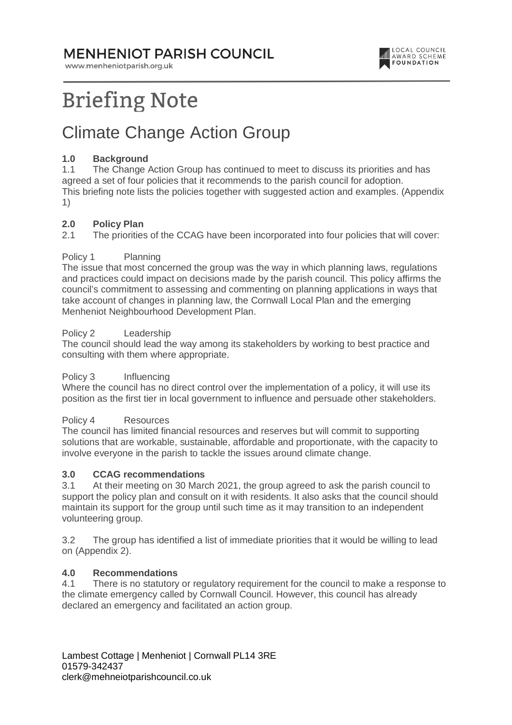### **MENHENIOT PARISH COUNCIL**

www.menheniotparish.org.uk



# **Briefing Note**

# Climate Change Action Group

#### **1.0 Background**

1.1 The Change Action Group has continued to meet to discuss its priorities and has agreed a set of four policies that it recommends to the parish council for adoption. This briefing note lists the policies together with suggested action and examples. (Appendix 1)

#### **2.0 Policy Plan**

2.1 The priorities of the CCAG have been incorporated into four policies that will cover:

#### Policy 1 Planning

The issue that most concerned the group was the way in which planning laws, regulations and practices could impact on decisions made by the parish council. This policy affirms the council's commitment to assessing and commenting on planning applications in ways that take account of changes in planning law, the Cornwall Local Plan and the emerging Menheniot Neighbourhood Development Plan.

#### Policy 2 Leadership

The council should lead the way among its stakeholders by working to best practice and consulting with them where appropriate.

#### Policy 3 Influencing

Where the council has no direct control over the implementation of a policy, it will use its position as the first tier in local government to influence and persuade other stakeholders.

#### Policy 4 Resources

The council has limited financial resources and reserves but will commit to supporting solutions that are workable, sustainable, affordable and proportionate, with the capacity to involve everyone in the parish to tackle the issues around climate change.

#### **3.0 CCAG recommendations**

3.1 At their meeting on 30 March 2021, the group agreed to ask the parish council to support the policy plan and consult on it with residents. It also asks that the council should maintain its support for the group until such time as it may transition to an independent volunteering group.

3.2 The group has identified a list of immediate priorities that it would be willing to lead on (Appendix 2).

#### **4.0 Recommendations**

4.1 There is no statutory or regulatory requirement for the council to make a response to the climate emergency called by Cornwall Council. However, this council has already declared an emergency and facilitated an action group.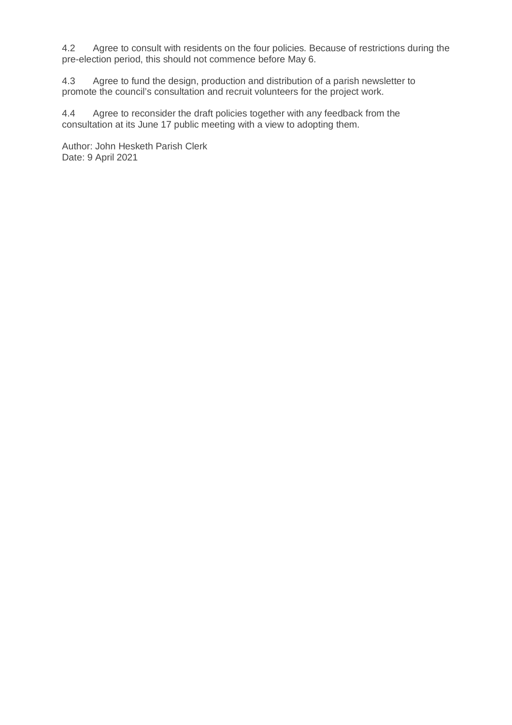4.2 Agree to consult with residents on the four policies. Because of restrictions during the pre-election period, this should not commence before May 6.

4.3 Agree to fund the design, production and distribution of a parish newsletter to promote the council's consultation and recruit volunteers for the project work.

4.4 Agree to reconsider the draft policies together with any feedback from the consultation at its June 17 public meeting with a view to adopting them.

Author: John Hesketh Parish Clerk Date: 9 April 2021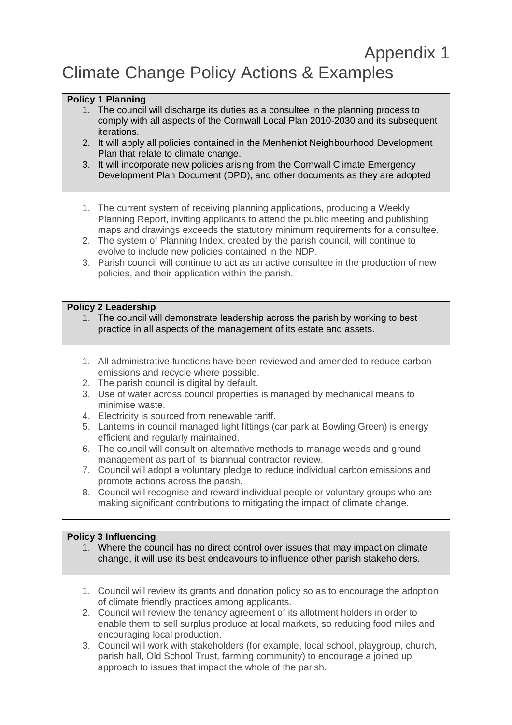### Appendix 1 Climate Change Policy Actions & Examples

#### **Policy 1 Planning**

- 1. The council will discharge its duties as a consultee in the planning process to comply with all aspects of the Cornwall Local Plan 2010-2030 and its subsequent iterations.
- 2. It will apply all policies contained in the Menheniot Neighbourhood Development Plan that relate to climate change.
- 3. It will incorporate new policies arising from the Cornwall Climate Emergency Development Plan Document (DPD), and other documents as they are adopted
- 1. The current system of receiving planning applications, producing a Weekly Planning Report, inviting applicants to attend the public meeting and publishing maps and drawings exceeds the statutory minimum requirements for a consultee.
- 2. The system of Planning Index, created by the parish council, will continue to evolve to include new policies contained in the NDP.
- 3. Parish council will continue to act as an active consultee in the production of new policies, and their application within the parish.

#### **Policy 2 Leadership**

- 1. The council will demonstrate leadership across the parish by working to best practice in all aspects of the management of its estate and assets.
- 1. All administrative functions have been reviewed and amended to reduce carbon emissions and recycle where possible.
- 2. The parish council is digital by default.
- 3. Use of water across council properties is managed by mechanical means to minimise waste.
- 4. Electricity is sourced from renewable tariff.
- 5. Lanterns in council managed light fittings (car park at Bowling Green) is energy efficient and regularly maintained.
- 6. The council will consult on alternative methods to manage weeds and ground management as part of its biannual contractor review.
- 7. Council will adopt a voluntary pledge to reduce individual carbon emissions and promote actions across the parish.
- 8. Council will recognise and reward individual people or voluntary groups who are making significant contributions to mitigating the impact of climate change.

#### **Policy 3 Influencing**

- 1. Where the council has no direct control over issues that may impact on climate change, it will use its best endeavours to influence other parish stakeholders.
- 1. Council will review its grants and donation policy so as to encourage the adoption of climate friendly practices among applicants.
- 2. Council will review the tenancy agreement of its allotment holders in order to enable them to sell surplus produce at local markets, so reducing food miles and encouraging local production.
- 3. Council will work with stakeholders (for example, local school, playgroup, church, parish hall, Old School Trust, farming community) to encourage a joined up approach to issues that impact the whole of the parish.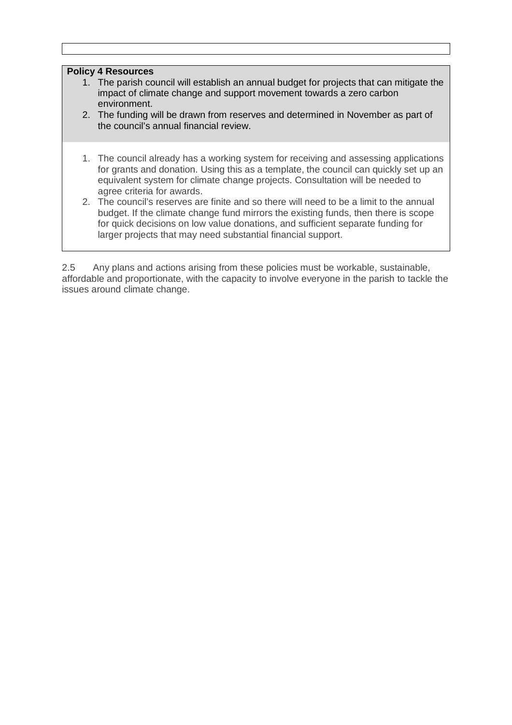#### **Policy 4 Resources**

- 1. The parish council will establish an annual budget for projects that can mitigate the impact of climate change and support movement towards a zero carbon environment.
- 2. The funding will be drawn from reserves and determined in November as part of the council's annual financial review.
- 1. The council already has a working system for receiving and assessing applications for grants and donation. Using this as a template, the council can quickly set up an equivalent system for climate change projects. Consultation will be needed to agree criteria for awards.
- 2. The council's reserves are finite and so there will need to be a limit to the annual budget. If the climate change fund mirrors the existing funds, then there is scope for quick decisions on low value donations, and sufficient separate funding for larger projects that may need substantial financial support.

2.5 Any plans and actions arising from these policies must be workable, sustainable, affordable and proportionate, with the capacity to involve everyone in the parish to tackle the issues around climate change.